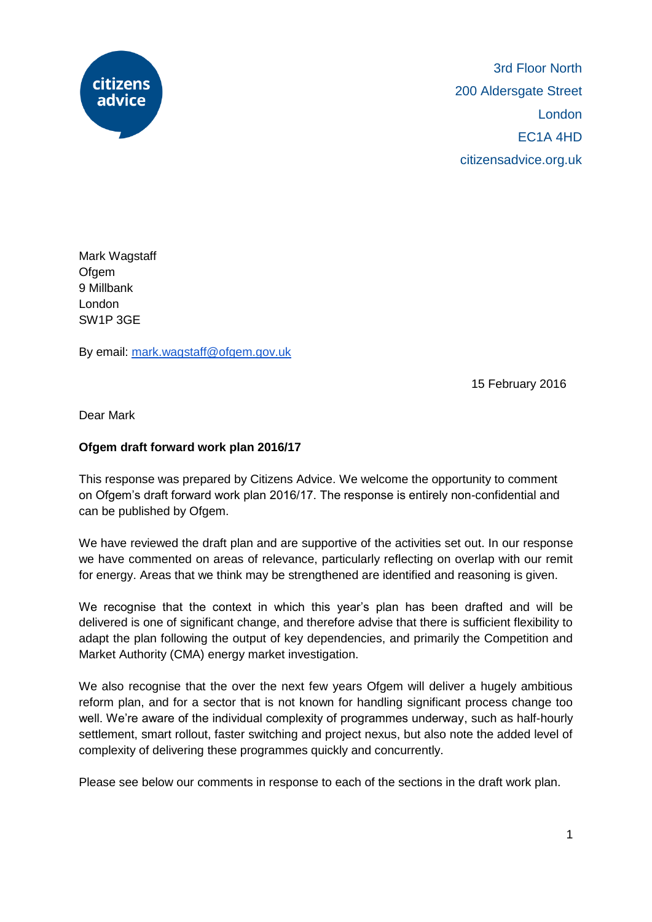

Mark Wagstaff **Ofgem** 9 Millbank London SW1P 3GE

By email: [mark.wagstaff@ofgem.gov.uk](mailto:mark.wagstaff@ofgem.gov.uk)

15 February 2016

Dear Mark

## **Ofgem draft forward work plan 2016/17**

This response was prepared by Citizens Advice. We welcome the opportunity to comment on Ofgem's draft forward work plan 2016/17. The response is entirely non-confidential and can be published by Ofgem.

We have reviewed the draft plan and are supportive of the activities set out. In our response we have commented on areas of relevance, particularly reflecting on overlap with our remit for energy. Areas that we think may be strengthened are identified and reasoning is given.

We recognise that the context in which this year's plan has been drafted and will be delivered is one of significant change, and therefore advise that there is sufficient flexibility to adapt the plan following the output of key dependencies, and primarily the Competition and Market Authority (CMA) energy market investigation.

We also recognise that the over the next few years Ofgem will deliver a hugely ambitious reform plan, and for a sector that is not known for handling significant process change too well. We're aware of the individual complexity of programmes underway, such as half-hourly settlement, smart rollout, faster switching and project nexus, but also note the added level of complexity of delivering these programmes quickly and concurrently.

Please see below our comments in response to each of the sections in the draft work plan.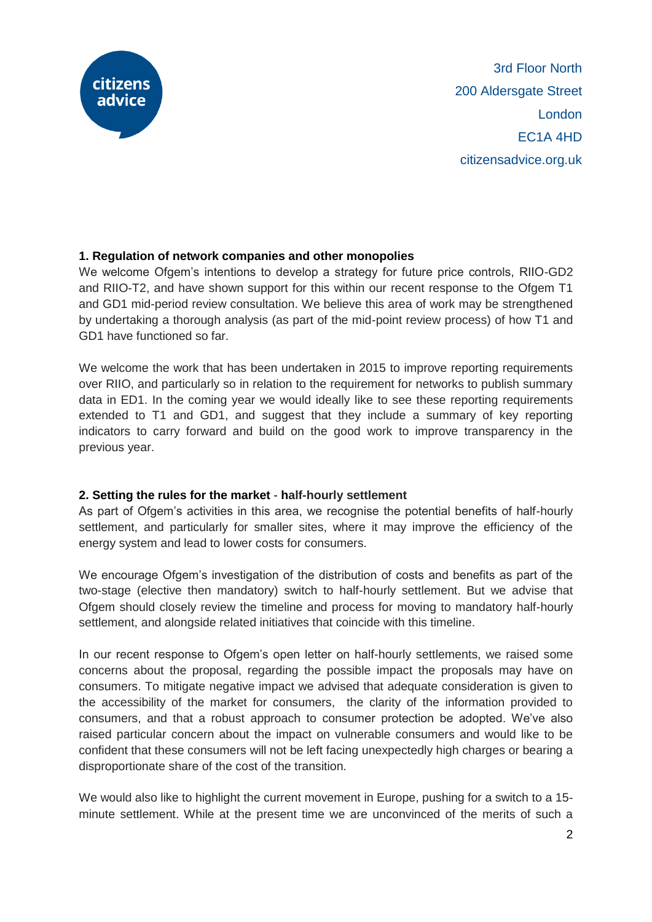

## **1. Regulation of network companies and other monopolies**

We welcome Ofgem's intentions to develop a strategy for future price controls, RIIO-GD2 and RIIO-T2, and have shown support for this within our recent response to the Ofgem T1 and GD1 mid-period review consultation. We believe this area of work may be strengthened by undertaking a thorough analysis (as part of the mid-point review process) of how T1 and GD1 have functioned so far.

We welcome the work that has been undertaken in 2015 to improve reporting requirements over RIIO, and particularly so in relation to the requirement for networks to publish summary data in ED1. In the coming year we would ideally like to see these reporting requirements extended to T1 and GD1, and suggest that they include a summary of key reporting indicators to carry forward and build on the good work to improve transparency in the previous year.

## **2. Setting the rules for the market** - **half-hourly settlement**

As part of Ofgem's activities in this area, we recognise the potential benefits of half-hourly settlement, and particularly for smaller sites, where it may improve the efficiency of the energy system and lead to lower costs for consumers.

We encourage Ofgem's investigation of the distribution of costs and benefits as part of the two-stage (elective then mandatory) switch to half-hourly settlement. But we advise that Ofgem should closely review the timeline and process for moving to mandatory half-hourly settlement, and alongside related initiatives that coincide with this timeline.

In our recent response to Ofgem's open letter on half-hourly settlements, we raised some concerns about the proposal, regarding the possible impact the proposals may have on consumers. To mitigate negative impact we advised that adequate consideration is given to the accessibility of the market for consumers, the clarity of the information provided to consumers, and that a robust approach to consumer protection be adopted. We've also raised particular concern about the impact on vulnerable consumers and would like to be confident that these consumers will not be left facing unexpectedly high charges or bearing a disproportionate share of the cost of the transition.

We would also like to highlight the current movement in Europe, pushing for a switch to a 15 minute settlement. While at the present time we are unconvinced of the merits of such a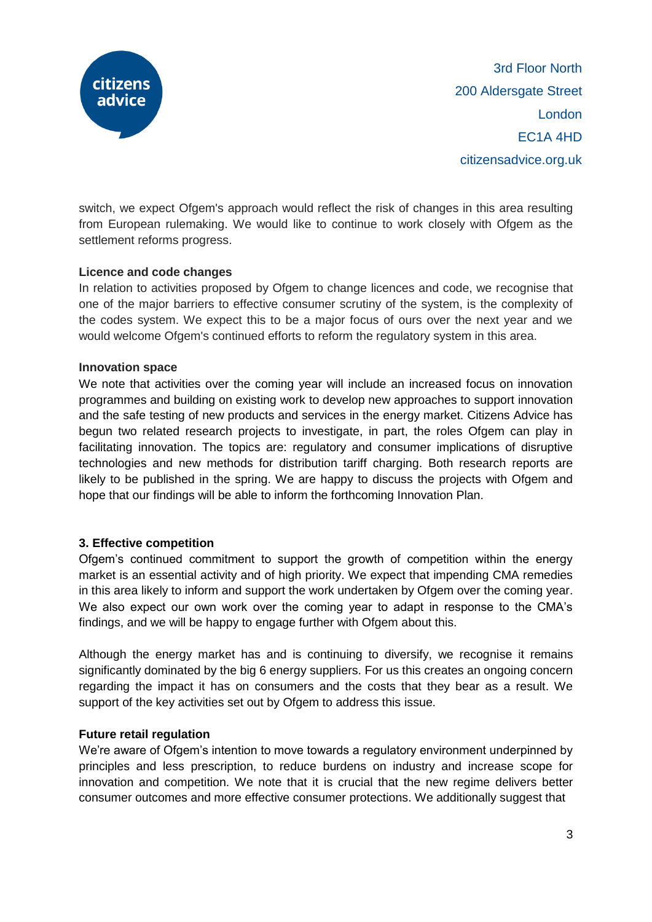

switch, we expect Ofgem's approach would reflect the risk of changes in this area resulting from European rulemaking. We would like to continue to work closely with Ofgem as the settlement reforms progress.

## **Licence and code changes**

In relation to activities proposed by Ofgem to change licences and code, we recognise that one of the major barriers to effective consumer scrutiny of the system, is the complexity of the codes system. We expect this to be a major focus of ours over the next year and we would welcome Ofgem's continued efforts to reform the regulatory system in this area.

## **Innovation space**

We note that activities over the coming year will include an increased focus on innovation programmes and building on existing work to develop new approaches to support innovation and the safe testing of new products and services in the energy market. Citizens Advice has begun two related research projects to investigate, in part, the roles Ofgem can play in facilitating innovation. The topics are: regulatory and consumer implications of disruptive technologies and new methods for distribution tariff charging. Both research reports are likely to be published in the spring. We are happy to discuss the projects with Ofgem and hope that our findings will be able to inform the forthcoming Innovation Plan.

# **3. Effective competition**

Ofgem's continued commitment to support the growth of competition within the energy market is an essential activity and of high priority. We expect that impending CMA remedies in this area likely to inform and support the work undertaken by Ofgem over the coming year. We also expect our own work over the coming year to adapt in response to the CMA's findings, and we will be happy to engage further with Ofgem about this.

Although the energy market has and is continuing to diversify, we recognise it remains significantly dominated by the big 6 energy suppliers. For us this creates an ongoing concern regarding the impact it has on consumers and the costs that they bear as a result. We support of the key activities set out by Ofgem to address this issue.

## **Future retail regulation**

We're aware of Ofgem's intention to move towards a regulatory environment underpinned by principles and less prescription, to reduce burdens on industry and increase scope for innovation and competition. We note that it is crucial that the new regime delivers better consumer outcomes and more effective consumer protections. We additionally suggest that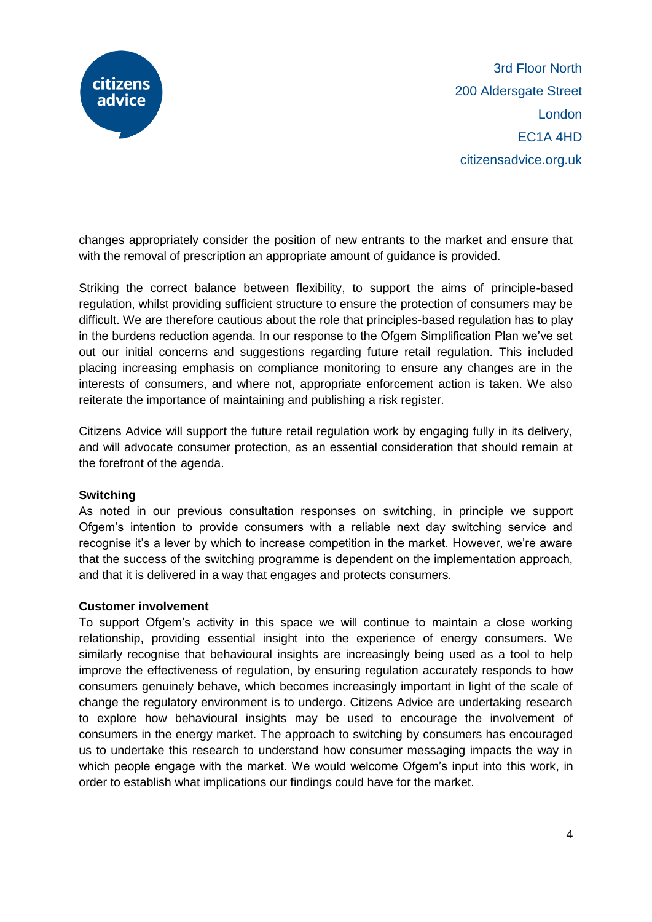

changes appropriately consider the position of new entrants to the market and ensure that with the removal of prescription an appropriate amount of guidance is provided.

Striking the correct balance between flexibility, to support the aims of principle-based regulation, whilst providing sufficient structure to ensure the protection of consumers may be difficult. We are therefore cautious about the role that principles-based regulation has to play in the burdens reduction agenda. In our response to the Ofgem Simplification Plan we've set out our initial concerns and suggestions regarding future retail regulation. This included placing increasing emphasis on compliance monitoring to ensure any changes are in the interests of consumers, and where not, appropriate enforcement action is taken. We also reiterate the importance of maintaining and publishing a risk register.

Citizens Advice will support the future retail regulation work by engaging fully in its delivery, and will advocate consumer protection, as an essential consideration that should remain at the forefront of the agenda.

## **Switching**

As noted in our previous consultation responses on switching, in principle we support Ofgem's intention to provide consumers with a reliable next day switching service and recognise it's a lever by which to increase competition in the market. However, we're aware that the success of the switching programme is dependent on the implementation approach, and that it is delivered in a way that engages and protects consumers.

## **Customer involvement**

To support Ofgem's activity in this space we will continue to maintain a close working relationship, providing essential insight into the experience of energy consumers. We similarly recognise that behavioural insights are increasingly being used as a tool to help improve the effectiveness of regulation, by ensuring regulation accurately responds to how consumers genuinely behave, which becomes increasingly important in light of the scale of change the regulatory environment is to undergo. Citizens Advice are undertaking research to explore how behavioural insights may be used to encourage the involvement of consumers in the energy market. The approach to switching by consumers has encouraged us to undertake this research to understand how consumer messaging impacts the way in which people engage with the market. We would welcome Ofgem's input into this work, in order to establish what implications our findings could have for the market.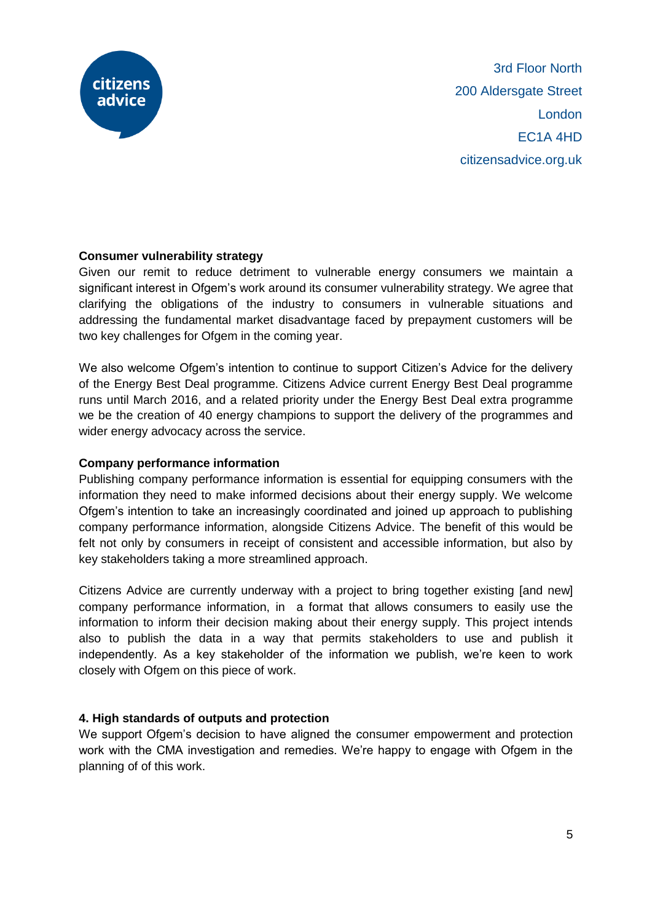

## **Consumer vulnerability strategy**

Given our remit to reduce detriment to vulnerable energy consumers we maintain a significant interest in Ofgem's work around its consumer vulnerability strategy. We agree that clarifying the obligations of the industry to consumers in vulnerable situations and addressing the fundamental market disadvantage faced by prepayment customers will be two key challenges for Ofgem in the coming year.

We also welcome Ofgem's intention to continue to support Citizen's Advice for the delivery of the Energy Best Deal programme. Citizens Advice current Energy Best Deal programme runs until March 2016, and a related priority under the Energy Best Deal extra programme we be the creation of 40 energy champions to support the delivery of the programmes and wider energy advocacy across the service.

## **Company performance information**

Publishing company performance information is essential for equipping consumers with the information they need to make informed decisions about their energy supply. We welcome Ofgem's intention to take an increasingly coordinated and joined up approach to publishing company performance information, alongside Citizens Advice. The benefit of this would be felt not only by consumers in receipt of consistent and accessible information, but also by key stakeholders taking a more streamlined approach.

Citizens Advice are currently underway with a project to bring together existing [and new] company performance information, in a format that allows consumers to easily use the information to inform their decision making about their energy supply. This project intends also to publish the data in a way that permits stakeholders to use and publish it independently. As a key stakeholder of the information we publish, we're keen to work closely with Ofgem on this piece of work.

# **4. High standards of outputs and protection**

We support Ofgem's decision to have aligned the consumer empowerment and protection work with the CMA investigation and remedies. We're happy to engage with Ofgem in the planning of of this work.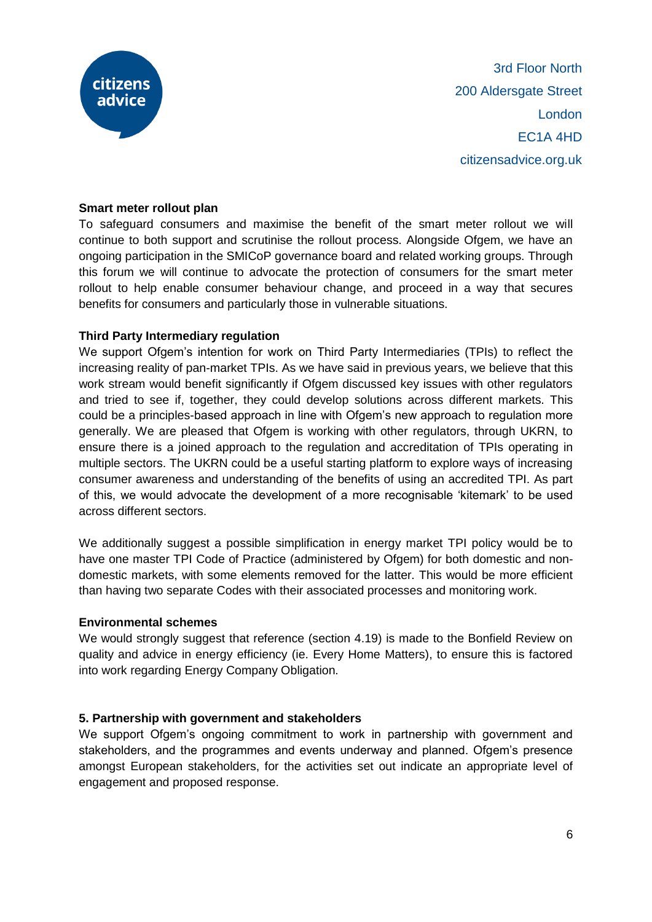

#### **Smart meter rollout plan**

To safeguard consumers and maximise the benefit of the smart meter rollout we will continue to both support and scrutinise the rollout process. Alongside Ofgem, we have an ongoing participation in the SMICoP governance board and related working groups. Through this forum we will continue to advocate the protection of consumers for the smart meter rollout to help enable consumer behaviour change, and proceed in a way that secures benefits for consumers and particularly those in vulnerable situations.

#### **Third Party Intermediary regulation**

We support Ofgem's intention for work on Third Party Intermediaries (TPIs) to reflect the increasing reality of pan-market TPIs. As we have said in previous years, we believe that this work stream would benefit significantly if Ofgem discussed key issues with other regulators and tried to see if, together, they could develop solutions across different markets. This could be a principles-based approach in line with Ofgem's new approach to regulation more generally. We are pleased that Ofgem is working with other regulators, through UKRN, to ensure there is a joined approach to the regulation and accreditation of TPIs operating in multiple sectors. The UKRN could be a useful starting platform to explore ways of increasing consumer awareness and understanding of the benefits of using an accredited TPI. As part of this, we would advocate the development of a more recognisable 'kitemark' to be used across different sectors.

We additionally suggest a possible simplification in energy market TPI policy would be to have one master TPI Code of Practice (administered by Ofgem) for both domestic and nondomestic markets, with some elements removed for the latter. This would be more efficient than having two separate Codes with their associated processes and monitoring work.

## **Environmental schemes**

We would strongly suggest that reference (section 4.19) is made to the Bonfield Review on quality and advice in energy efficiency (ie. Every Home Matters), to ensure this is factored into work regarding Energy Company Obligation.

## **5. Partnership with government and stakeholders**

We support Ofgem's ongoing commitment to work in partnership with government and stakeholders, and the programmes and events underway and planned. Ofgem's presence amongst European stakeholders, for the activities set out indicate an appropriate level of engagement and proposed response.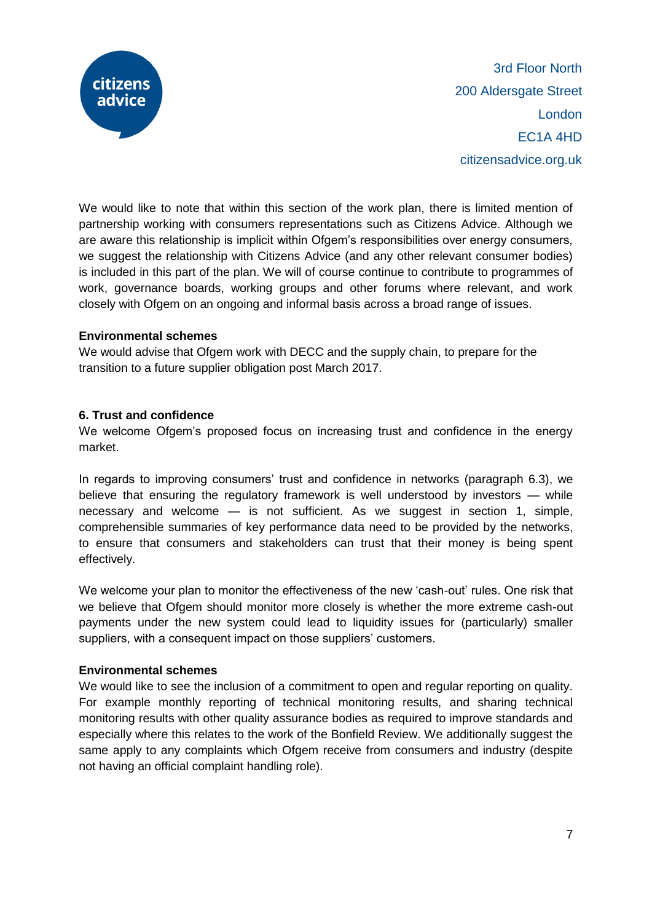

We would like to note that within this section of the work plan, there is limited mention of partnership working with consumers representations such as Citizens Advice. Although we are aware this relationship is implicit within Ofgem's responsibilities over energy consumers, we suggest the relationship with Citizens Advice (and any other relevant consumer bodies) is included in this part of the plan. We will of course continue to contribute to programmes of work, governance boards, working groups and other forums where relevant, and work closely with Ofgem on an ongoing and informal basis across a broad range of issues.

## **Environmental schemes**

We would advise that Ofgem work with DECC and the supply chain, to prepare for the transition to a future supplier obligation post March 2017.

# **6. Trust and confidence**

We welcome Ofgem's proposed focus on increasing trust and confidence in the energy market.

In regards to improving consumers' trust and confidence in networks (paragraph 6.3), we believe that ensuring the regulatory framework is well understood by investors — while necessary and welcome — is not sufficient. As we suggest in section 1, simple, comprehensible summaries of key performance data need to be provided by the networks, to ensure that consumers and stakeholders can trust that their money is being spent effectively.

We welcome your plan to monitor the effectiveness of the new 'cash-out' rules. One risk that we believe that Ofgem should monitor more closely is whether the more extreme cash-out payments under the new system could lead to liquidity issues for (particularly) smaller suppliers, with a consequent impact on those suppliers' customers.

## **Environmental schemes**

We would like to see the inclusion of a commitment to open and regular reporting on quality. For example monthly reporting of technical monitoring results, and sharing technical monitoring results with other quality assurance bodies as required to improve standards and especially where this relates to the work of the Bonfield Review. We additionally suggest the same apply to any complaints which Ofgem receive from consumers and industry (despite not having an official complaint handling role).